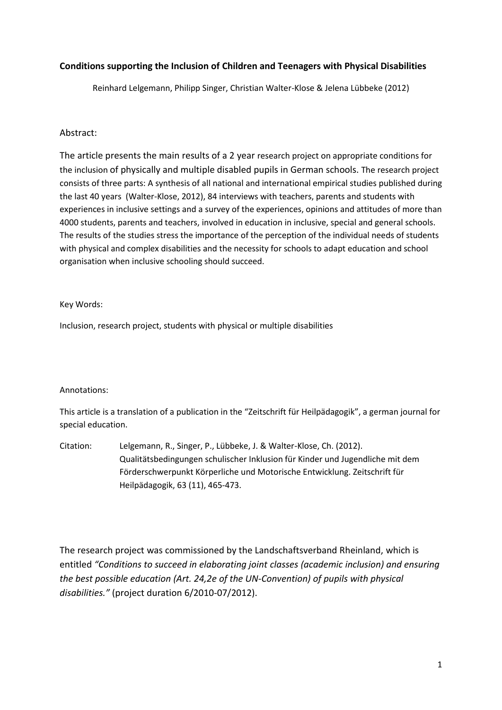#### **Conditions supporting the Inclusion of Children and Teenagers with Physical Disabilities**

Reinhard Lelgemann, Philipp Singer, Christian Walter-Klose & Jelena Lübbeke (2012)

#### Abstract:

The article presents the main results of a 2 year research project on appropriate conditions for the inclusion of physically and multiple disabled pupils in German schools. The research project consists of three parts: A synthesis of all national and international empirical studies published during the last 40 years (Walter-Klose, 2012), 84 interviews with teachers, parents and students with experiences in inclusive settings and a survey of the experiences, opinions and attitudes of more than 4000 students, parents and teachers, involved in education in inclusive, special and general schools. The results of the studies stress the importance of the perception of the individual needs of students with physical and complex disabilities and the necessity for schools to adapt education and school organisation when inclusive schooling should succeed.

#### Key Words:

Inclusion, research project, students with physical or multiple disabilities

#### Annotations:

This article is a translation of a publication in the "Zeitschrift für Heilpädagogik", a german journal for special education.

Citation: Lelgemann, R., Singer, P., Lübbeke, J. & Walter-Klose, Ch. (2012). Qualitätsbedingungen schulischer Inklusion für Kinder und Jugendliche mit dem Förderschwerpunkt Körperliche und Motorische Entwicklung. Zeitschrift für Heilpädagogik, 63 (11), 465-473.

The research project was commissioned by the Landschaftsverband Rheinland, which is entitled *"Conditions to succeed in elaborating joint classes (academic inclusion) and ensuring the best possible education (Art. 24,2e of the UN-Convention) of pupils with physical disabilities."* (project duration 6/2010-07/2012).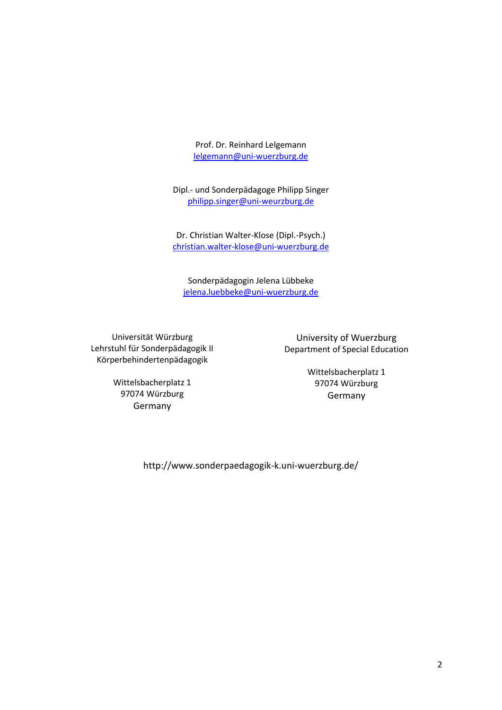Prof. Dr. Reinhard Lelgemann [lelgemann@uni-wuerzburg.de](mailto:lelgemann@uni-wuerzburg.de)

Dipl.- und Sonderpädagoge Philipp Singer [philipp.singer@uni-weurzburg.de](mailto:philipp.singer@uni-weurzburg.de)

Dr. Christian Walter-Klose (Dipl.-Psych.) [christian.walter-klose@uni-wuerzburg.de](mailto:christian.walter-klose@uni-wuerzburg.de)

Sonderpädagogin Jelena Lübbeke [jelena.luebbeke@uni-wuerzburg.de](mailto:jelena.luebbeke@uni-wuerzburg.de)

Universität Würzburg Lehrstuhl für Sonderpädagogik II Körperbehindertenpädagogik

University of Wuerzburg Department of Special Education

Wittelsbacherplatz 1 97074 Würzburg Germany

Wittelsbacherplatz 1 97074 Würzburg Germany

http://www.sonderpaedagogik-k.uni-wuerzburg.de/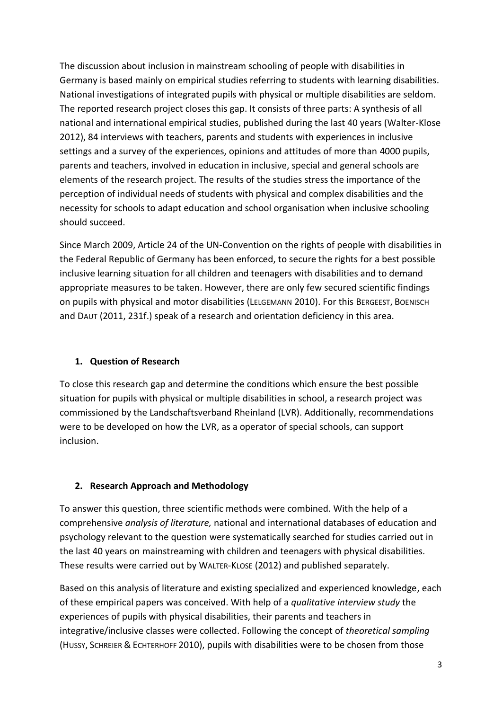The discussion about inclusion in mainstream schooling of people with disabilities in Germany is based mainly on empirical studies referring to students with learning disabilities. National investigations of integrated pupils with physical or multiple disabilities are seldom. The reported research project closes this gap. It consists of three parts: A synthesis of all national and international empirical studies, published during the last 40 years (Walter-Klose 2012), 84 interviews with teachers, parents and students with experiences in inclusive settings and a survey of the experiences, opinions and attitudes of more than 4000 pupils, parents and teachers, involved in education in inclusive, special and general schools are elements of the research project. The results of the studies stress the importance of the perception of individual needs of students with physical and complex disabilities and the necessity for schools to adapt education and school organisation when inclusive schooling should succeed.

Since March 2009, Article 24 of the UN-Convention on the rights of people with disabilities in the Federal Republic of Germany has been enforced, to secure the rights for a best possible inclusive learning situation for all children and teenagers with disabilities and to demand appropriate measures to be taken. However, there are only few secured scientific findings on pupils with physical and motor disabilities (LELGEMANN 2010). For this BERGEEST, BOENISCH and DAUT (2011, 231f.) speak of a research and orientation deficiency in this area.

# **1. Question of Research**

To close this research gap and determine the conditions which ensure the best possible situation for pupils with physical or multiple disabilities in school, a research project was commissioned by the Landschaftsverband Rheinland (LVR). Additionally, recommendations were to be developed on how the LVR, as a operator of special schools, can support inclusion.

# **2. Research Approach and Methodology**

To answer this question, three scientific methods were combined. With the help of a comprehensive *analysis of literature,* national and international databases of education and psychology relevant to the question were systematically searched for studies carried out in the last 40 years on mainstreaming with children and teenagers with physical disabilities. These results were carried out by WALTER-KLOSE (2012) and published separately.

Based on this analysis of literature and existing specialized and experienced knowledge, each of these empirical papers was conceived. With help of a *qualitative interview study* the experiences of pupils with physical disabilities, their parents and teachers in integrative/inclusive classes were collected. Following the concept of *theoretical sampling* (HUSSY, SCHREIER & ECHTERHOFF 2010), pupils with disabilities were to be chosen from those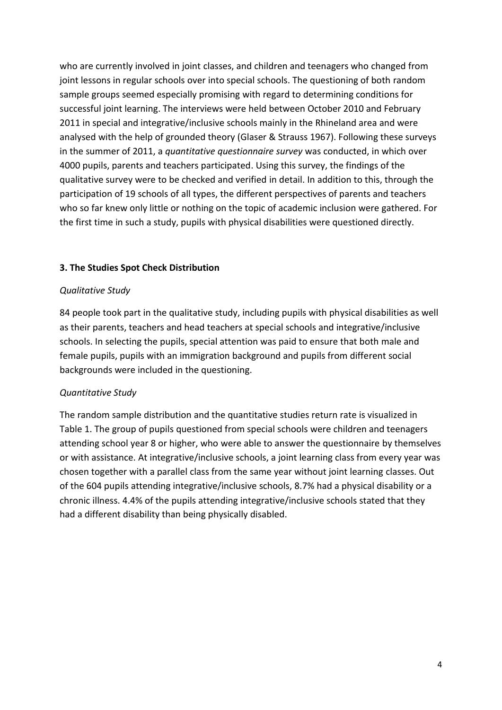who are currently involved in joint classes, and children and teenagers who changed from joint lessons in regular schools over into special schools. The questioning of both random sample groups seemed especially promising with regard to determining conditions for successful joint learning. The interviews were held between October 2010 and February 2011 in special and integrative/inclusive schools mainly in the Rhineland area and were analysed with the help of grounded theory (Glaser & Strauss 1967). Following these surveys in the summer of 2011, a *quantitative questionnaire survey* was conducted, in which over 4000 pupils, parents and teachers participated. Using this survey, the findings of the qualitative survey were to be checked and verified in detail. In addition to this, through the participation of 19 schools of all types, the different perspectives of parents and teachers who so far knew only little or nothing on the topic of academic inclusion were gathered. For the first time in such a study, pupils with physical disabilities were questioned directly.

#### **3. The Studies Spot Check Distribution**

#### *Qualitative Study*

84 people took part in the qualitative study, including pupils with physical disabilities as well as their parents, teachers and head teachers at special schools and integrative/inclusive schools. In selecting the pupils, special attention was paid to ensure that both male and female pupils, pupils with an immigration background and pupils from different social backgrounds were included in the questioning.

#### *Quantitative Study*

The random sample distribution and the quantitative studies return rate is visualized in Table 1. The group of pupils questioned from special schools were children and teenagers attending school year 8 or higher, who were able to answer the questionnaire by themselves or with assistance. At integrative/inclusive schools, a joint learning class from every year was chosen together with a parallel class from the same year without joint learning classes. Out of the 604 pupils attending integrative/inclusive schools, 8.7% had a physical disability or a chronic illness. 4.4% of the pupils attending integrative/inclusive schools stated that they had a different disability than being physically disabled.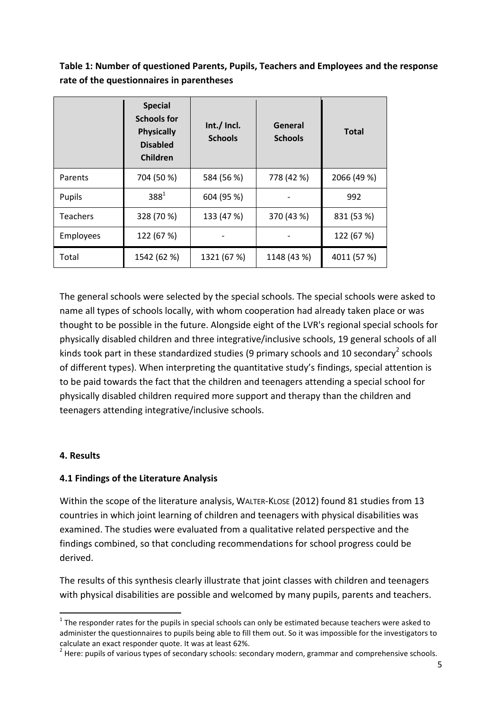# **Table 1: Number of questioned Parents, Pupils, Teachers and Employees and the response rate of the questionnaires in parentheses**

|                 | <b>Special</b><br><b>Schools for</b><br><b>Physically</b><br><b>Disabled</b><br>Children | Int./ Incl.<br><b>Schools</b> | General<br><b>Schools</b> | <b>Total</b> |
|-----------------|------------------------------------------------------------------------------------------|-------------------------------|---------------------------|--------------|
| Parents         | 704 (50 %)                                                                               | 584 (56 %)                    | 778 (42 %)                | 2066 (49 %)  |
| Pupils          | $388^{1}$                                                                                | 604 (95 %)                    |                           | 992          |
| <b>Teachers</b> | 328 (70 %)                                                                               | 133 (47 %)                    | 370 (43 %)                | 831 (53 %)   |
| Employees       | 122 (67 %)                                                                               |                               |                           | 122 (67 %)   |
| Total           | 1542 (62 %)                                                                              | 1321 (67 %)                   | 1148 (43 %)               | 4011 (57 %)  |

The general schools were selected by the special schools. The special schools were asked to name all types of schools locally, with whom cooperation had already taken place or was thought to be possible in the future. Alongside eight of the LVR's regional special schools for physically disabled children and three integrative/inclusive schools, 19 general schools of all kinds took part in these standardized studies (9 primary schools and 10 secondary<sup>2</sup> schools of different types). When interpreting the quantitative study's findings, special attention is to be paid towards the fact that the children and teenagers attending a special school for physically disabled children required more support and therapy than the children and teenagers attending integrative/inclusive schools.

#### **4. Results**

**.** 

# **4.1 Findings of the Literature Analysis**

Within the scope of the literature analysis, WALTER-KLOSE (2012) found 81 studies from 13 countries in which joint learning of children and teenagers with physical disabilities was examined. The studies were evaluated from a qualitative related perspective and the findings combined, so that concluding recommendations for school progress could be derived.

The results of this synthesis clearly illustrate that joint classes with children and teenagers with physical disabilities are possible and welcomed by many pupils, parents and teachers.

 $1$  The responder rates for the pupils in special schools can only be estimated because teachers were asked to administer the questionnaires to pupils being able to fill them out. So it was impossible for the investigators to calculate an exact responder quote. It was at least 62%.

 $^{2}$  Here: pupils of various types of secondary schools: secondary modern, grammar and comprehensive schools.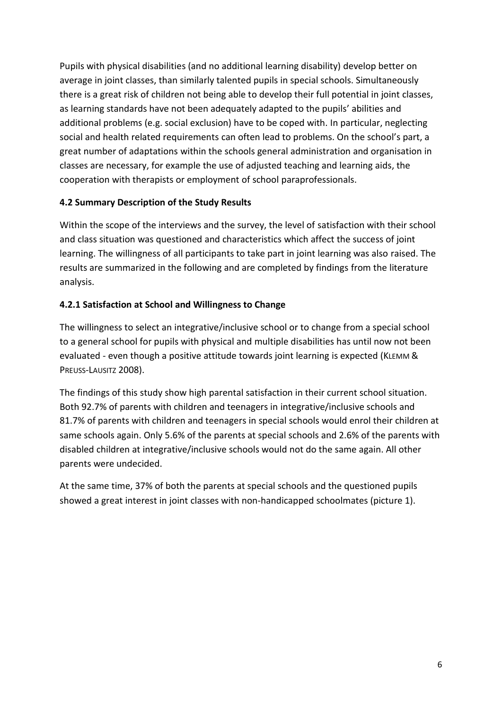Pupils with physical disabilities (and no additional learning disability) develop better on average in joint classes, than similarly talented pupils in special schools. Simultaneously there is a great risk of children not being able to develop their full potential in joint classes, as learning standards have not been adequately adapted to the pupils' abilities and additional problems (e.g. social exclusion) have to be coped with. In particular, neglecting social and health related requirements can often lead to problems. On the school's part, a great number of adaptations within the schools general administration and organisation in classes are necessary, for example the use of adjusted teaching and learning aids, the cooperation with therapists or employment of school paraprofessionals.

# **4.2 Summary Description of the Study Results**

Within the scope of the interviews and the survey, the level of satisfaction with their school and class situation was questioned and characteristics which affect the success of joint learning. The willingness of all participants to take part in joint learning was also raised. The results are summarized in the following and are completed by findings from the literature analysis.

## **4.2.1 Satisfaction at School and Willingness to Change**

The willingness to select an integrative/inclusive school or to change from a special school to a general school for pupils with physical and multiple disabilities has until now not been evaluated - even though a positive attitude towards joint learning is expected (KLEMM & PREUSS-LAUSITZ 2008).

The findings of this study show high parental satisfaction in their current school situation. Both 92.7% of parents with children and teenagers in integrative/inclusive schools and 81.7% of parents with children and teenagers in special schools would enrol their children at same schools again. Only 5.6% of the parents at special schools and 2.6% of the parents with disabled children at integrative/inclusive schools would not do the same again. All other parents were undecided.

At the same time, 37% of both the parents at special schools and the questioned pupils showed a great interest in joint classes with non-handicapped schoolmates (picture 1).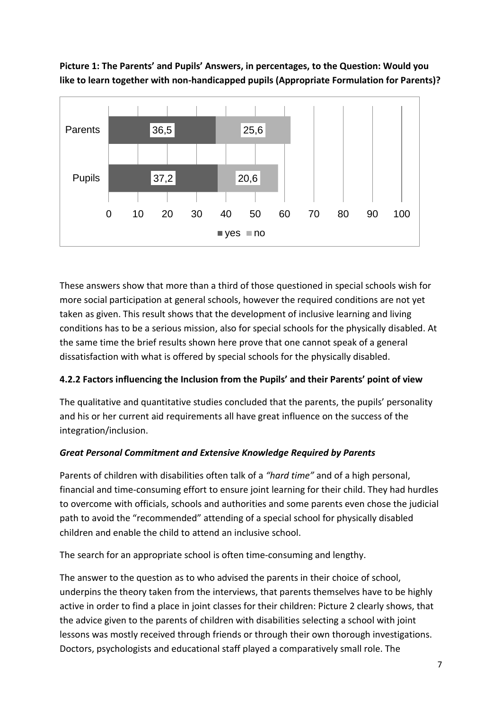

**Picture 1: The Parents' and Pupils' Answers, in percentages, to the Question: Would you like to learn together with non-handicapped pupils (Appropriate Formulation for Parents)?**

These answers show that more than a third of those questioned in special schools wish for more social participation at general schools, however the required conditions are not yet taken as given. This result shows that the development of inclusive learning and living conditions has to be a serious mission, also for special schools for the physically disabled. At the same time the brief results shown here prove that one cannot speak of a general dissatisfaction with what is offered by special schools for the physically disabled.

# **4.2.2 Factors influencing the Inclusion from the Pupils' and their Parents' point of view**

The qualitative and quantitative studies concluded that the parents, the pupils' personality and his or her current aid requirements all have great influence on the success of the integration/inclusion.

# *Great Personal Commitment and Extensive Knowledge Required by Parents*

Parents of children with disabilities often talk of a *"hard time"* and of a high personal, financial and time-consuming effort to ensure joint learning for their child. They had hurdles to overcome with officials, schools and authorities and some parents even chose the judicial path to avoid the "recommended" attending of a special school for physically disabled children and enable the child to attend an inclusive school.

The search for an appropriate school is often time-consuming and lengthy.

The answer to the question as to who advised the parents in their choice of school, underpins the theory taken from the interviews, that parents themselves have to be highly active in order to find a place in joint classes for their children: Picture 2 clearly shows, that the advice given to the parents of children with disabilities selecting a school with joint lessons was mostly received through friends or through their own thorough investigations. Doctors, psychologists and educational staff played a comparatively small role. The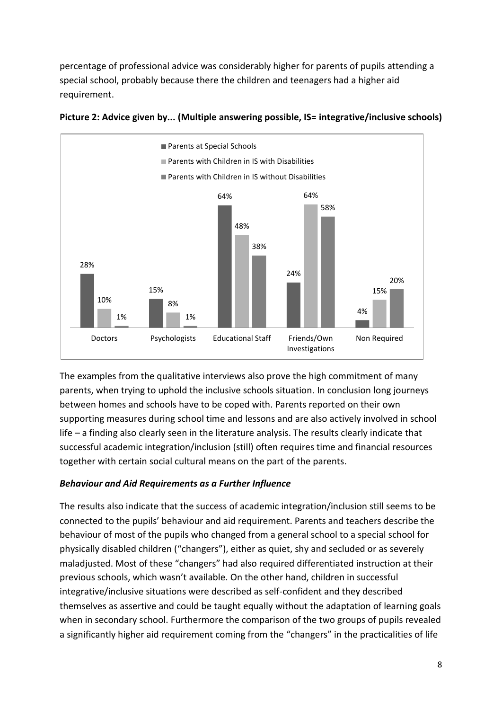percentage of professional advice was considerably higher for parents of pupils attending a special school, probably because there the children and teenagers had a higher aid requirement.





The examples from the qualitative interviews also prove the high commitment of many parents, when trying to uphold the inclusive schools situation. In conclusion long journeys between homes and schools have to be coped with. Parents reported on their own supporting measures during school time and lessons and are also actively involved in school life – a finding also clearly seen in the literature analysis. The results clearly indicate that successful academic integration/inclusion (still) often requires time and financial resources together with certain social cultural means on the part of the parents.

#### *Behaviour and Aid Requirements as a Further Influence*

The results also indicate that the success of academic integration/inclusion still seems to be connected to the pupils' behaviour and aid requirement. Parents and teachers describe the behaviour of most of the pupils who changed from a general school to a special school for physically disabled children ("changers"), either as quiet, shy and secluded or as severely maladjusted. Most of these "changers" had also required differentiated instruction at their previous schools, which wasn't available. On the other hand, children in successful integrative/inclusive situations were described as self-confident and they described themselves as assertive and could be taught equally without the adaptation of learning goals when in secondary school. Furthermore the comparison of the two groups of pupils revealed a significantly higher aid requirement coming from the "changers" in the practicalities of life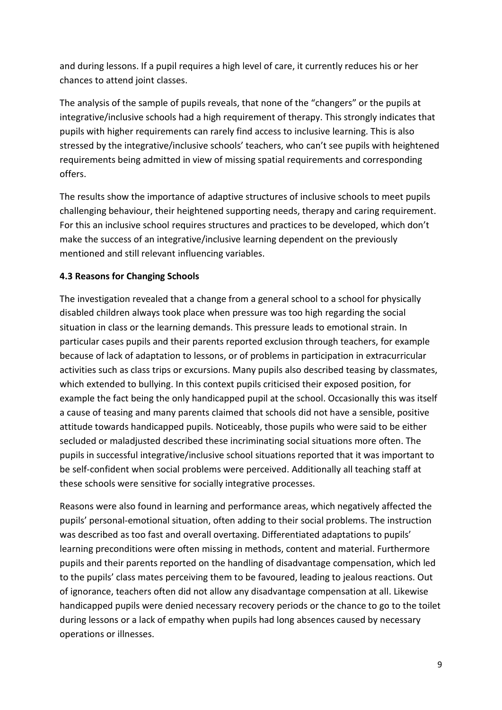and during lessons. If a pupil requires a high level of care, it currently reduces his or her chances to attend joint classes.

The analysis of the sample of pupils reveals, that none of the "changers" or the pupils at integrative/inclusive schools had a high requirement of therapy. This strongly indicates that pupils with higher requirements can rarely find access to inclusive learning. This is also stressed by the integrative/inclusive schools' teachers, who can't see pupils with heightened requirements being admitted in view of missing spatial requirements and corresponding offers.

The results show the importance of adaptive structures of inclusive schools to meet pupils challenging behaviour, their heightened supporting needs, therapy and caring requirement. For this an inclusive school requires structures and practices to be developed, which don't make the success of an integrative/inclusive learning dependent on the previously mentioned and still relevant influencing variables.

## **4.3 Reasons for Changing Schools**

The investigation revealed that a change from a general school to a school for physically disabled children always took place when pressure was too high regarding the social situation in class or the learning demands. This pressure leads to emotional strain. In particular cases pupils and their parents reported exclusion through teachers, for example because of lack of adaptation to lessons, or of problems in participation in extracurricular activities such as class trips or excursions. Many pupils also described teasing by classmates, which extended to bullying. In this context pupils criticised their exposed position, for example the fact being the only handicapped pupil at the school. Occasionally this was itself a cause of teasing and many parents claimed that schools did not have a sensible, positive attitude towards handicapped pupils. Noticeably, those pupils who were said to be either secluded or maladjusted described these incriminating social situations more often. The pupils in successful integrative/inclusive school situations reported that it was important to be self-confident when social problems were perceived. Additionally all teaching staff at these schools were sensitive for socially integrative processes.

Reasons were also found in learning and performance areas, which negatively affected the pupils' personal-emotional situation, often adding to their social problems. The instruction was described as too fast and overall overtaxing. Differentiated adaptations to pupils' learning preconditions were often missing in methods, content and material. Furthermore pupils and their parents reported on the handling of disadvantage compensation, which led to the pupils' class mates perceiving them to be favoured, leading to jealous reactions. Out of ignorance, teachers often did not allow any disadvantage compensation at all. Likewise handicapped pupils were denied necessary recovery periods or the chance to go to the toilet during lessons or a lack of empathy when pupils had long absences caused by necessary operations or illnesses.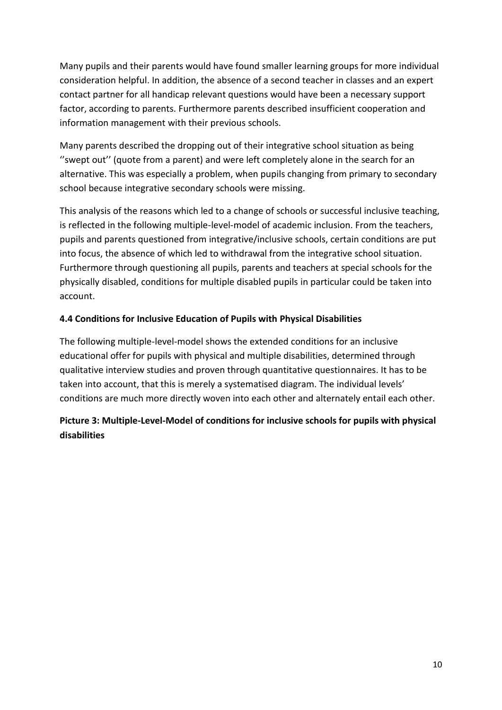Many pupils and their parents would have found smaller learning groups for more individual consideration helpful. In addition, the absence of a second teacher in classes and an expert contact partner for all handicap relevant questions would have been a necessary support factor, according to parents. Furthermore parents described insufficient cooperation and information management with their previous schools.

Many parents described the dropping out of their integrative school situation as being ''swept out'' (quote from a parent) and were left completely alone in the search for an alternative. This was especially a problem, when pupils changing from primary to secondary school because integrative secondary schools were missing.

This analysis of the reasons which led to a change of schools or successful inclusive teaching, is reflected in the following multiple-level-model of academic inclusion. From the teachers, pupils and parents questioned from integrative/inclusive schools, certain conditions are put into focus, the absence of which led to withdrawal from the integrative school situation. Furthermore through questioning all pupils, parents and teachers at special schools for the physically disabled, conditions for multiple disabled pupils in particular could be taken into account.

# **4.4 Conditions for Inclusive Education of Pupils with Physical Disabilities**

The following multiple-level-model shows the extended conditions for an inclusive educational offer for pupils with physical and multiple disabilities, determined through qualitative interview studies and proven through quantitative questionnaires. It has to be taken into account, that this is merely a systematised diagram. The individual levels' conditions are much more directly woven into each other and alternately entail each other.

# **Picture 3: Multiple-Level-Model of conditions for inclusive schools for pupils with physical disabilities**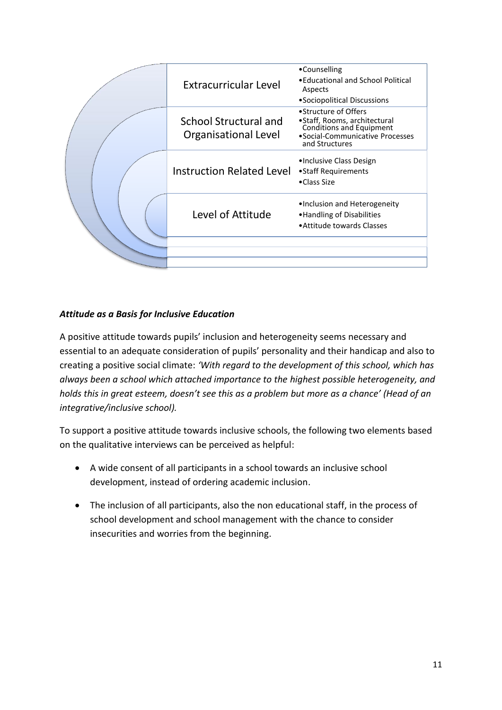| <b>Extracurricular Level</b>                         | •Counselling<br>• Educational and School Political<br>Aspects<br>•Sociopolitical Discussions                                                 |
|------------------------------------------------------|----------------------------------------------------------------------------------------------------------------------------------------------|
| School Structural and<br><b>Organisational Level</b> | •Structure of Offers<br>•Staff, Rooms, architectural<br><b>Conditions and Equipment</b><br>•Social-Communicative Processes<br>and Structures |
| <b>Instruction Related Level</b>                     | •Inclusive Class Design<br>• Staff Requirements<br>•Class Size                                                                               |
| Level of Attitude                                    | •Inclusion and Heterogeneity<br>• Handling of Disabilities<br>• Attitude towards Classes                                                     |
|                                                      |                                                                                                                                              |

# *Attitude as a Basis for Inclusive Education*

A positive attitude towards pupils' inclusion and heterogeneity seems necessary and essential to an adequate consideration of pupils' personality and their handicap and also to creating a positive social climate: *'With regard to the development of this school, which has always been a school which attached importance to the highest possible heterogeneity, and holds this in great esteem, doesn't see this as a problem but more as a chance' (Head of an integrative/inclusive school).*

To support a positive attitude towards inclusive schools, the following two elements based on the qualitative interviews can be perceived as helpful:

- A wide consent of all participants in a school towards an inclusive school development, instead of ordering academic inclusion.
- The inclusion of all participants, also the non educational staff, in the process of school development and school management with the chance to consider insecurities and worries from the beginning.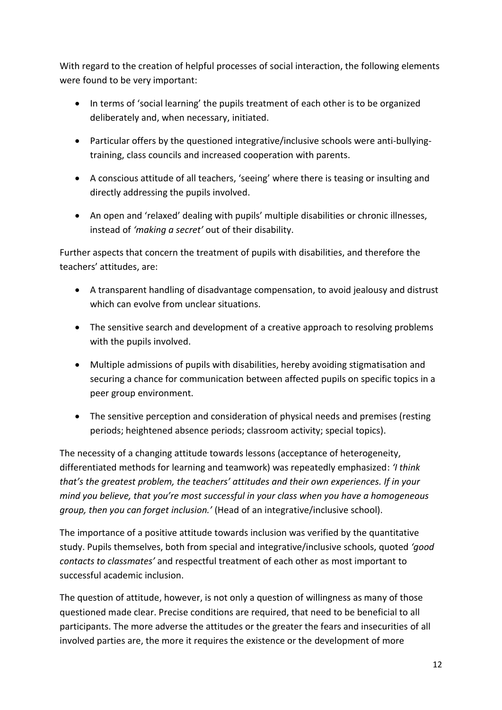With regard to the creation of helpful processes of social interaction, the following elements were found to be very important:

- In terms of 'social learning' the pupils treatment of each other is to be organized deliberately and, when necessary, initiated.
- Particular offers by the questioned integrative/inclusive schools were anti-bullyingtraining, class councils and increased cooperation with parents.
- A conscious attitude of all teachers, 'seeing' where there is teasing or insulting and directly addressing the pupils involved.
- An open and 'relaxed' dealing with pupils' multiple disabilities or chronic illnesses, instead of *'making a secret'* out of their disability.

Further aspects that concern the treatment of pupils with disabilities, and therefore the teachers' attitudes, are:

- A transparent handling of disadvantage compensation, to avoid jealousy and distrust which can evolve from unclear situations.
- The sensitive search and development of a creative approach to resolving problems with the pupils involved.
- Multiple admissions of pupils with disabilities, hereby avoiding stigmatisation and securing a chance for communication between affected pupils on specific topics in a peer group environment.
- The sensitive perception and consideration of physical needs and premises (resting periods; heightened absence periods; classroom activity; special topics).

The necessity of a changing attitude towards lessons (acceptance of heterogeneity, differentiated methods for learning and teamwork) was repeatedly emphasized: *'I think that's the greatest problem, the teachers' attitudes and their own experiences. If in your mind you believe, that you're most successful in your class when you have a homogeneous group, then you can forget inclusion.'* (Head of an integrative/inclusive school).

The importance of a positive attitude towards inclusion was verified by the quantitative study. Pupils themselves, both from special and integrative/inclusive schools, quoted *'good contacts to classmates'* and respectful treatment of each other as most important to successful academic inclusion.

The question of attitude, however, is not only a question of willingness as many of those questioned made clear. Precise conditions are required, that need to be beneficial to all participants. The more adverse the attitudes or the greater the fears and insecurities of all involved parties are, the more it requires the existence or the development of more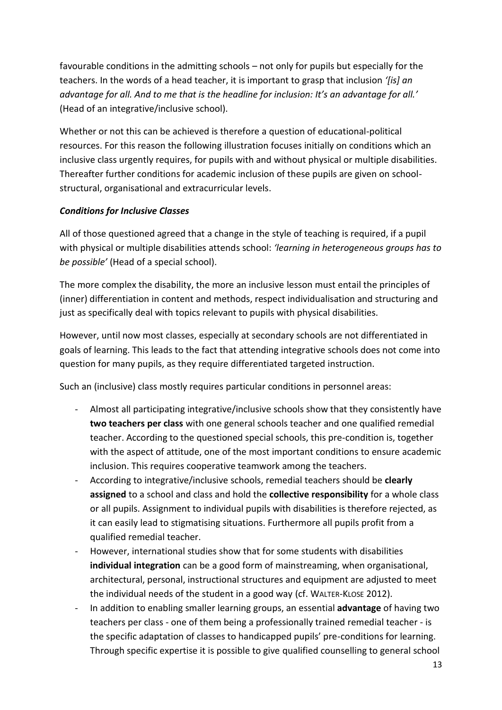favourable conditions in the admitting schools – not only for pupils but especially for the teachers. In the words of a head teacher, it is important to grasp that inclusion *'[is] an advantage for all. And to me that is the headline for inclusion: It's an advantage for all.'* (Head of an integrative/inclusive school).

Whether or not this can be achieved is therefore a question of educational-political resources. For this reason the following illustration focuses initially on conditions which an inclusive class urgently requires, for pupils with and without physical or multiple disabilities. Thereafter further conditions for academic inclusion of these pupils are given on schoolstructural, organisational and extracurricular levels.

## *Conditions for Inclusive Classes*

All of those questioned agreed that a change in the style of teaching is required, if a pupil with physical or multiple disabilities attends school: *'learning in heterogeneous groups has to be possible'* (Head of a special school).

The more complex the disability, the more an inclusive lesson must entail the principles of (inner) differentiation in content and methods, respect individualisation and structuring and just as specifically deal with topics relevant to pupils with physical disabilities.

However, until now most classes, especially at secondary schools are not differentiated in goals of learning. This leads to the fact that attending integrative schools does not come into question for many pupils, as they require differentiated targeted instruction.

Such an (inclusive) class mostly requires particular conditions in personnel areas:

- Almost all participating integrative/inclusive schools show that they consistently have **two teachers per class** with one general schools teacher and one qualified remedial teacher. According to the questioned special schools, this pre-condition is, together with the aspect of attitude, one of the most important conditions to ensure academic inclusion. This requires cooperative teamwork among the teachers.
- According to integrative/inclusive schools, remedial teachers should be **clearly assigned** to a school and class and hold the **collective responsibility** for a whole class or all pupils. Assignment to individual pupils with disabilities is therefore rejected, as it can easily lead to stigmatising situations. Furthermore all pupils profit from a qualified remedial teacher.
- However, international studies show that for some students with disabilities **individual integration** can be a good form of mainstreaming, when organisational, architectural, personal, instructional structures and equipment are adjusted to meet the individual needs of the student in a good way (cf. WALTER-KLOSE 2012).
- In addition to enabling smaller learning groups, an essential **advantage** of having two teachers per class - one of them being a professionally trained remedial teacher - is the specific adaptation of classes to handicapped pupils' pre-conditions for learning. Through specific expertise it is possible to give qualified counselling to general school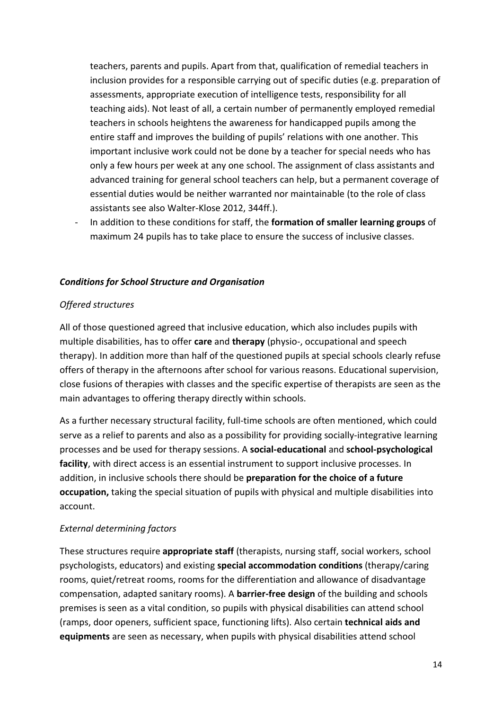teachers, parents and pupils. Apart from that, qualification of remedial teachers in inclusion provides for a responsible carrying out of specific duties (e.g. preparation of assessments, appropriate execution of intelligence tests, responsibility for all teaching aids). Not least of all, a certain number of permanently employed remedial teachers in schools heightens the awareness for handicapped pupils among the entire staff and improves the building of pupils' relations with one another. This important inclusive work could not be done by a teacher for special needs who has only a few hours per week at any one school. The assignment of class assistants and advanced training for general school teachers can help, but a permanent coverage of essential duties would be neither warranted nor maintainable (to the role of class assistants see also Walter-Klose 2012, 344ff.).

- In addition to these conditions for staff, the **formation of smaller learning groups** of maximum 24 pupils has to take place to ensure the success of inclusive classes.

## *Conditions for School Structure and Organisation*

#### *Offered structures*

All of those questioned agreed that inclusive education, which also includes pupils with multiple disabilities, has to offer **care** and **therapy** (physio-, occupational and speech therapy). In addition more than half of the questioned pupils at special schools clearly refuse offers of therapy in the afternoons after school for various reasons. Educational supervision, close fusions of therapies with classes and the specific expertise of therapists are seen as the main advantages to offering therapy directly within schools.

As a further necessary structural facility, full-time schools are often mentioned, which could serve as a relief to parents and also as a possibility for providing socially-integrative learning processes and be used for therapy sessions. A **social-educational** and **school-psychological facility**, with direct access is an essential instrument to support inclusive processes. In addition, in inclusive schools there should be **preparation for the choice of a future occupation,** taking the special situation of pupils with physical and multiple disabilities into account.

#### *External determining factors*

These structures require **appropriate staff** (therapists, nursing staff, social workers, school psychologists, educators) and existing **special accommodation conditions** (therapy/caring rooms, quiet/retreat rooms, rooms for the differentiation and allowance of disadvantage compensation, adapted sanitary rooms). A **barrier-free design** of the building and schools premises is seen as a vital condition, so pupils with physical disabilities can attend school (ramps, door openers, sufficient space, functioning lifts). Also certain **technical aids and equipments** are seen as necessary, when pupils with physical disabilities attend school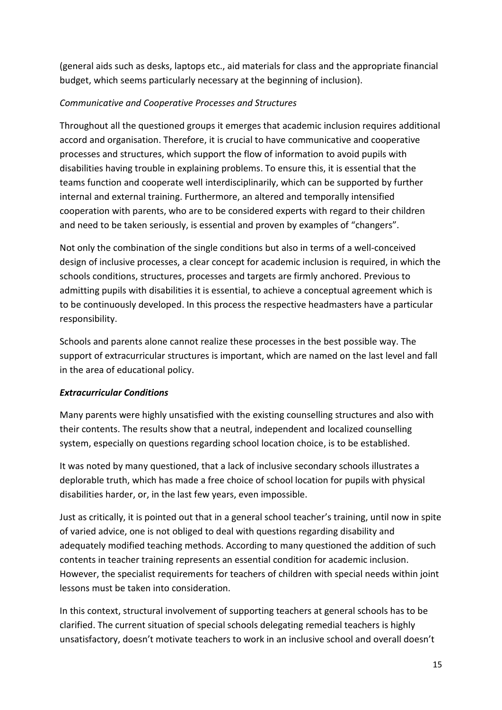(general aids such as desks, laptops etc., aid materials for class and the appropriate financial budget, which seems particularly necessary at the beginning of inclusion).

## *Communicative and Cooperative Processes and Structures*

Throughout all the questioned groups it emerges that academic inclusion requires additional accord and organisation. Therefore, it is crucial to have communicative and cooperative processes and structures, which support the flow of information to avoid pupils with disabilities having trouble in explaining problems. To ensure this, it is essential that the teams function and cooperate well interdisciplinarily, which can be supported by further internal and external training. Furthermore, an altered and temporally intensified cooperation with parents, who are to be considered experts with regard to their children and need to be taken seriously, is essential and proven by examples of "changers".

Not only the combination of the single conditions but also in terms of a well-conceived design of inclusive processes, a clear concept for academic inclusion is required, in which the schools conditions, structures, processes and targets are firmly anchored. Previous to admitting pupils with disabilities it is essential, to achieve a conceptual agreement which is to be continuously developed. In this process the respective headmasters have a particular responsibility.

Schools and parents alone cannot realize these processes in the best possible way. The support of extracurricular structures is important, which are named on the last level and fall in the area of educational policy.

# *Extracurricular Conditions*

Many parents were highly unsatisfied with the existing counselling structures and also with their contents. The results show that a neutral, independent and localized counselling system, especially on questions regarding school location choice, is to be established.

It was noted by many questioned, that a lack of inclusive secondary schools illustrates a deplorable truth, which has made a free choice of school location for pupils with physical disabilities harder, or, in the last few years, even impossible.

Just as critically, it is pointed out that in a general school teacher's training, until now in spite of varied advice, one is not obliged to deal with questions regarding disability and adequately modified teaching methods. According to many questioned the addition of such contents in teacher training represents an essential condition for academic inclusion. However, the specialist requirements for teachers of children with special needs within joint lessons must be taken into consideration.

In this context, structural involvement of supporting teachers at general schools has to be clarified. The current situation of special schools delegating remedial teachers is highly unsatisfactory, doesn't motivate teachers to work in an inclusive school and overall doesn't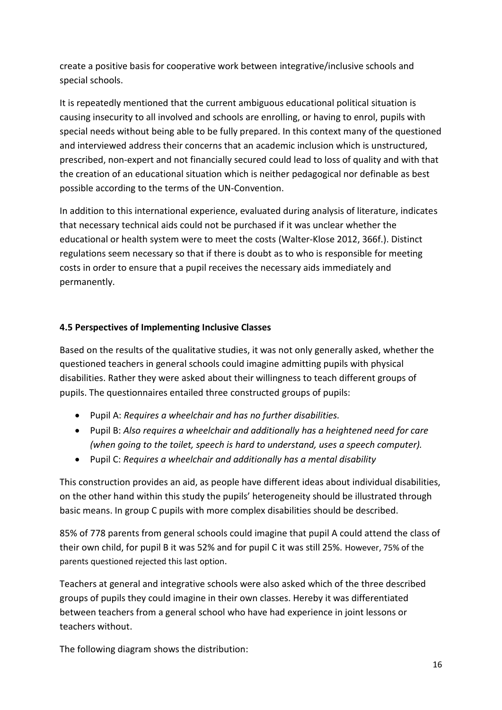create a positive basis for cooperative work between integrative/inclusive schools and special schools.

It is repeatedly mentioned that the current ambiguous educational political situation is causing insecurity to all involved and schools are enrolling, or having to enrol, pupils with special needs without being able to be fully prepared. In this context many of the questioned and interviewed address their concerns that an academic inclusion which is unstructured, prescribed, non-expert and not financially secured could lead to loss of quality and with that the creation of an educational situation which is neither pedagogical nor definable as best possible according to the terms of the UN-Convention.

In addition to this international experience, evaluated during analysis of literature, indicates that necessary technical aids could not be purchased if it was unclear whether the educational or health system were to meet the costs (Walter-Klose 2012, 366f.). Distinct regulations seem necessary so that if there is doubt as to who is responsible for meeting costs in order to ensure that a pupil receives the necessary aids immediately and permanently.

## **4.5 Perspectives of Implementing Inclusive Classes**

Based on the results of the qualitative studies, it was not only generally asked, whether the questioned teachers in general schools could imagine admitting pupils with physical disabilities. Rather they were asked about their willingness to teach different groups of pupils. The questionnaires entailed three constructed groups of pupils:

- Pupil A: *Requires a wheelchair and has no further disabilities.*
- Pupil B: *Also requires a wheelchair and additionally has a heightened need for care (when going to the toilet, speech is hard to understand, uses a speech computer).*
- Pupil C: *Requires a wheelchair and additionally has a mental disability*

This construction provides an aid, as people have different ideas about individual disabilities, on the other hand within this study the pupils' heterogeneity should be illustrated through basic means. In group C pupils with more complex disabilities should be described.

85% of 778 parents from general schools could imagine that pupil A could attend the class of their own child, for pupil B it was 52% and for pupil C it was still 25%. However, 75% of the parents questioned rejected this last option.

Teachers at general and integrative schools were also asked which of the three described groups of pupils they could imagine in their own classes. Hereby it was differentiated between teachers from a general school who have had experience in joint lessons or teachers without.

The following diagram shows the distribution: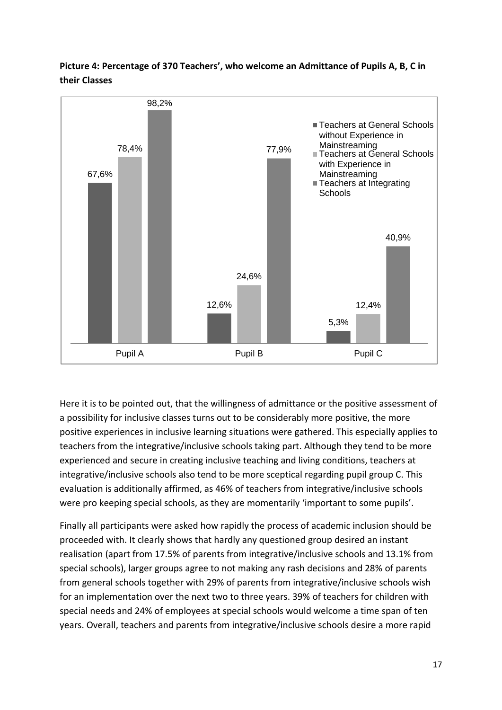

**Picture 4: Percentage of 370 Teachers', who welcome an Admittance of Pupils A, B, C in their Classes**

Here it is to be pointed out, that the willingness of admittance or the positive assessment of a possibility for inclusive classes turns out to be considerably more positive, the more positive experiences in inclusive learning situations were gathered. This especially applies to teachers from the integrative/inclusive schools taking part. Although they tend to be more experienced and secure in creating inclusive teaching and living conditions, teachers at integrative/inclusive schools also tend to be more sceptical regarding pupil group C. This evaluation is additionally affirmed, as 46% of teachers from integrative/inclusive schools were pro keeping special schools, as they are momentarily 'important to some pupils'.

Finally all participants were asked how rapidly the process of academic inclusion should be proceeded with. It clearly shows that hardly any questioned group desired an instant realisation (apart from 17.5% of parents from integrative/inclusive schools and 13.1% from special schools), larger groups agree to not making any rash decisions and 28% of parents from general schools together with 29% of parents from integrative/inclusive schools wish for an implementation over the next two to three years. 39% of teachers for children with special needs and 24% of employees at special schools would welcome a time span of ten years. Overall, teachers and parents from integrative/inclusive schools desire a more rapid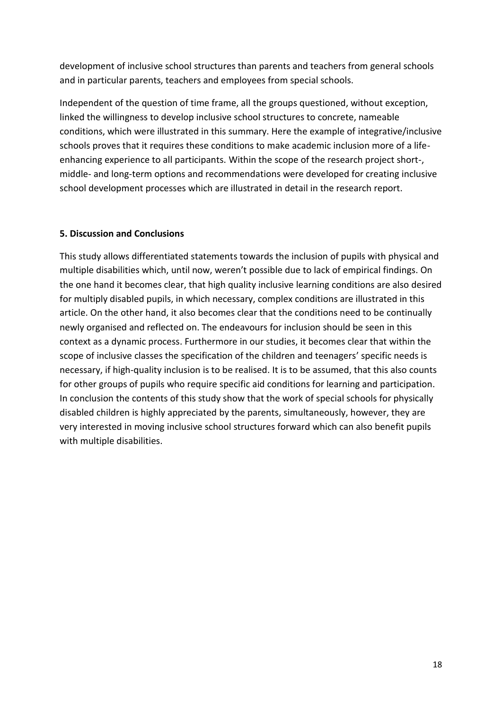development of inclusive school structures than parents and teachers from general schools and in particular parents, teachers and employees from special schools.

Independent of the question of time frame, all the groups questioned, without exception, linked the willingness to develop inclusive school structures to concrete, nameable conditions, which were illustrated in this summary. Here the example of integrative/inclusive schools proves that it requires these conditions to make academic inclusion more of a lifeenhancing experience to all participants. Within the scope of the research project short-, middle- and long-term options and recommendations were developed for creating inclusive school development processes which are illustrated in detail in the research report.

#### **5. Discussion and Conclusions**

This study allows differentiated statements towards the inclusion of pupils with physical and multiple disabilities which, until now, weren't possible due to lack of empirical findings. On the one hand it becomes clear, that high quality inclusive learning conditions are also desired for multiply disabled pupils, in which necessary, complex conditions are illustrated in this article. On the other hand, it also becomes clear that the conditions need to be continually newly organised and reflected on. The endeavours for inclusion should be seen in this context as a dynamic process. Furthermore in our studies, it becomes clear that within the scope of inclusive classes the specification of the children and teenagers' specific needs is necessary, if high-quality inclusion is to be realised. It is to be assumed, that this also counts for other groups of pupils who require specific aid conditions for learning and participation. In conclusion the contents of this study show that the work of special schools for physically disabled children is highly appreciated by the parents, simultaneously, however, they are very interested in moving inclusive school structures forward which can also benefit pupils with multiple disabilities.